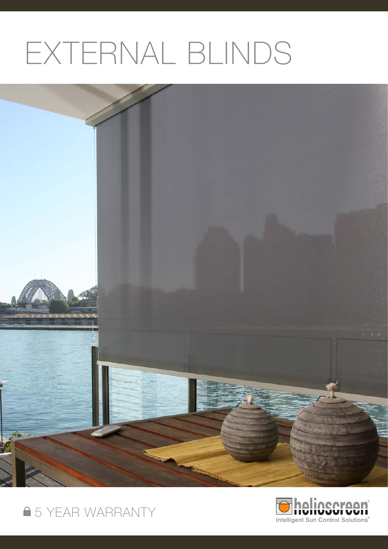# EXTERNAL BLINDS





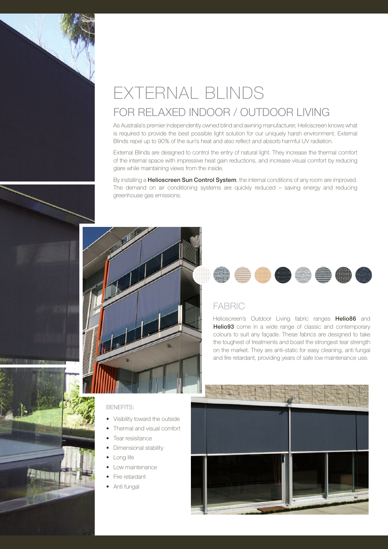## EXTERNAL BLINDS FOR RELAXED INDOOR / OUTDOOR LIVING

As Australia's premier independently owned blind and awning manufacturer, Helioscreen knows what is required to provide the best possible light solution for our uniquely harsh environment. External Blinds repel up to 90% of the sun's heat and also reflect and absorb harmful UV radiation.

External Blinds are designed to control the entry of natural light. They increase the thermal comfort of the internal space with impressive heat gain reductions, and increase visual comfort by reducing glare while maintaining views from the inside.

By installing a **Helioscreen Sun Control System**, the internal conditions of any room are improved. The demand on air conditioning systems are quickly reduced – saving energy and reducing greenhouse gas emissions.

FABRIC

#### BENEFITS:

- Visibility toward the outside
- Thermal and visual comfort
- Tear resisitance
- Dimensional stability
- Long life
- Low maintenance
- Fire retardant
- • Anti fungal



Helioscreen's Outdoor Living fabric ranges **Helio86** and Helio93 come in a wide range of classic and contemporary colours to suit any façade. These fabrics are designed to take the toughest of treatments and boast the strongest tear strength on the market. They are anti-static for easy cleaning, anti fungal and fire retardant, providing years of safe low maintenance use.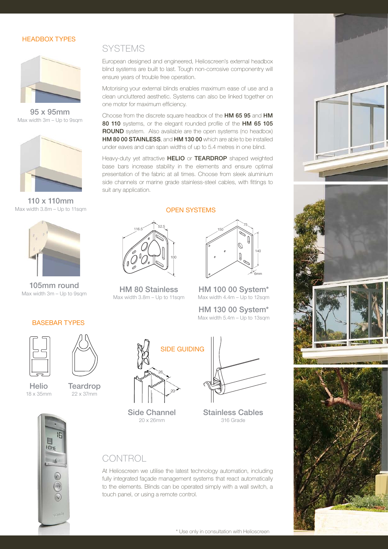### HEADBOX TYPES



95 x 95mm Max width 3m – Up to 9sqm



110 x 110mm Max width 3.8m - Up to 11sqm



105mm round Max width 3m – Up to 9sqm

## **SYSTEMS**

European designed and engineered, Helioscreen's external headbox blind systems are built to last. Tough non-corrosive componentry will ensure years of trouble free operation.

Motorising your external blinds enables maximum ease of use and a clean uncluttered aesthetic. Systems can also be linked together on one motor for maximum efficiency.

Choose from the discrete square headbox of the HM 65 95 and HM 80 110 systems, or the elegant rounded profile of the HM 65 105 ROUND system. Also available are the open systems (no headbox) HM 80 00 STAINLESS, and HM 130 00 which are able to be installed under eaves and can span widths of up to 5.4 metres in one blind.

Heavy-duty yet attractive **HELIO** or TEARDROP shaped weighted base bars increase stability in the elements and ensure optimal presentation of the fabric at all times. Choose from sleek aluminium side channels or marine grade stainless-steel cables, with fittings to suit any application.

#### OPEN SYSTEMS



HM 80 Stainless Max width  $3.8m -$ Up to 11sqm



HM 100 00 System\* Max width  $4.4m - Up$  to 12sqm

HM 130 00 System\* Max width 5.4m – Up to 13sqm







#### BASEBAR TYPES





Helio 18 x 35mm

**HOME** 

**Teardrop** 22 x 37mm



Side Channel 20 x 26mm



Stainless Cables 316 Grade



At Helioscreen we utilise the latest technology automation, including fully integrated façade management systems that react automatically to the elements. Blinds can be operated simply with a wall switch, a touch panel, or using a remote control.